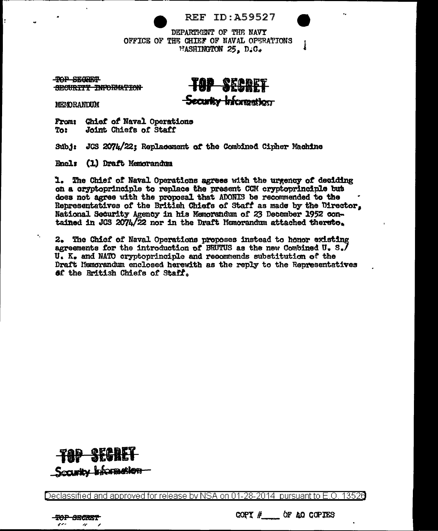DEPARTMENT OF THE NAVY OFFICE OF THE CHIEF OF NAVAL OPERATIONS FASHINGTON 25, D.G.

TOP SECRET SECURITY INFORMATION

-Security Information

MENDRANDUM

Chief of Naval Operations **From:** To: Joint Chiefs of Staff

JCS 2074/22; Replacement of the Combined Cipher Machine Subj:

Encl: (1) Draft Memorandum

1. The Chief of Naval Operations agrees with the urgency of deciding on a oryptoprinciple to replace the present CCM cryptoprinciple but does not agree with the proposal that ADONIS be recommended to the Representatives of the British Chiefs of Staff as made by the Director, National Security Agency in his Memorandum of 23 December 1952 contained in JGS 2074/22 nor in the Draft Memorandum attached thereto.

2. The Chief of Naval Operations proposes instead to honor existing agreements for the introduction of BRUTUS as the new Combined U. S./ U. K. and NATO cryptoprinciple and recommends substitution of the Draft Memorandum enclosed herewith as the reply to the Representatives of the British Chiefs of Staff.



Declassified and approved for release by NSA on 01-28-2014  $\,$  pursuant to E.O. 13526  $\,$ 



COPY  $#$  of ao COPIES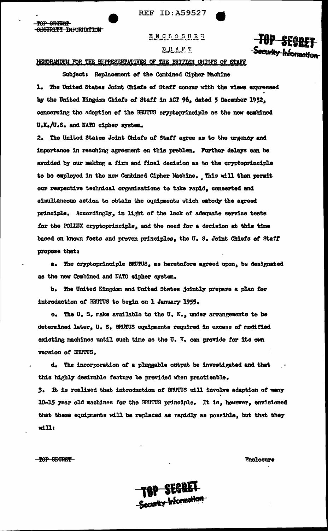**REF ID: A59527** 

**ENCLOSURE** 

书籍型

scurity Information

## DRAFT

## MEMORANDUM FOR THE REPRESENTATIVES OF THE BRITISH CHIEFS OF STAFF

Subject: Replacement of the Combined Cipher Machine 1. The United States Joint Chiefs of Staff concur with the views expressed by the United Kingdom Chiefs of Staff in ACT 96, dated 5 December 1952, concerning the adoption of the BRNTUS cryptoprinciple as the new combined U.K./U.S. and NATO cipher system.

2. The United States Joint Chiefs of Staff agree as to the urgency and importance in reaching agreement on this problem. Further delays can be avoided by our making a firm and final decision as to the cryptoprinciple to be employed in the new Combined Cipher Machine. This will then permit our respective technical organizations to take rapid, concerted and simultaneous action to obtain the equipments which embody the agreed principle. Accordingly, in light of the lack of adequate service tests for the POLIUX cryptoprinciple, and the need for a decision at this time based on known facts and proven principles, the U.S. Joint Chiefs of Staff propose that:

a. The cryptoprinciple BRUTUS, as heretofore agreed upon, be designated as the new Combined and NATO cipher system.

b. The United Kingdom and United States jointly prepare a plan for introduction of BRUTUS to begin on 1 January 1955.

c. The U.S. make available to the U.K., under arrangements to be determined later, U. S. BRUTUS equipments required in excess of modified existing machines until such time as the U.  $K_v$  can provide for its own version of BRUTUS.

d. The incorporation of a pluggable output be investigated and that this highly desirable feature be provided when practicable.

3. It is realized that introduction of BRUTUS will involve adaption of many 10-15 year old machines for the ERUTUS principle. It is, however, envisioned that these equipments will be replaced as rapidly as possible, but that they  $w111:$ 

TOP SECRET

TOP SECREP

SECURITY INFORMATION

Enclosure

TOP SECRET Security Information